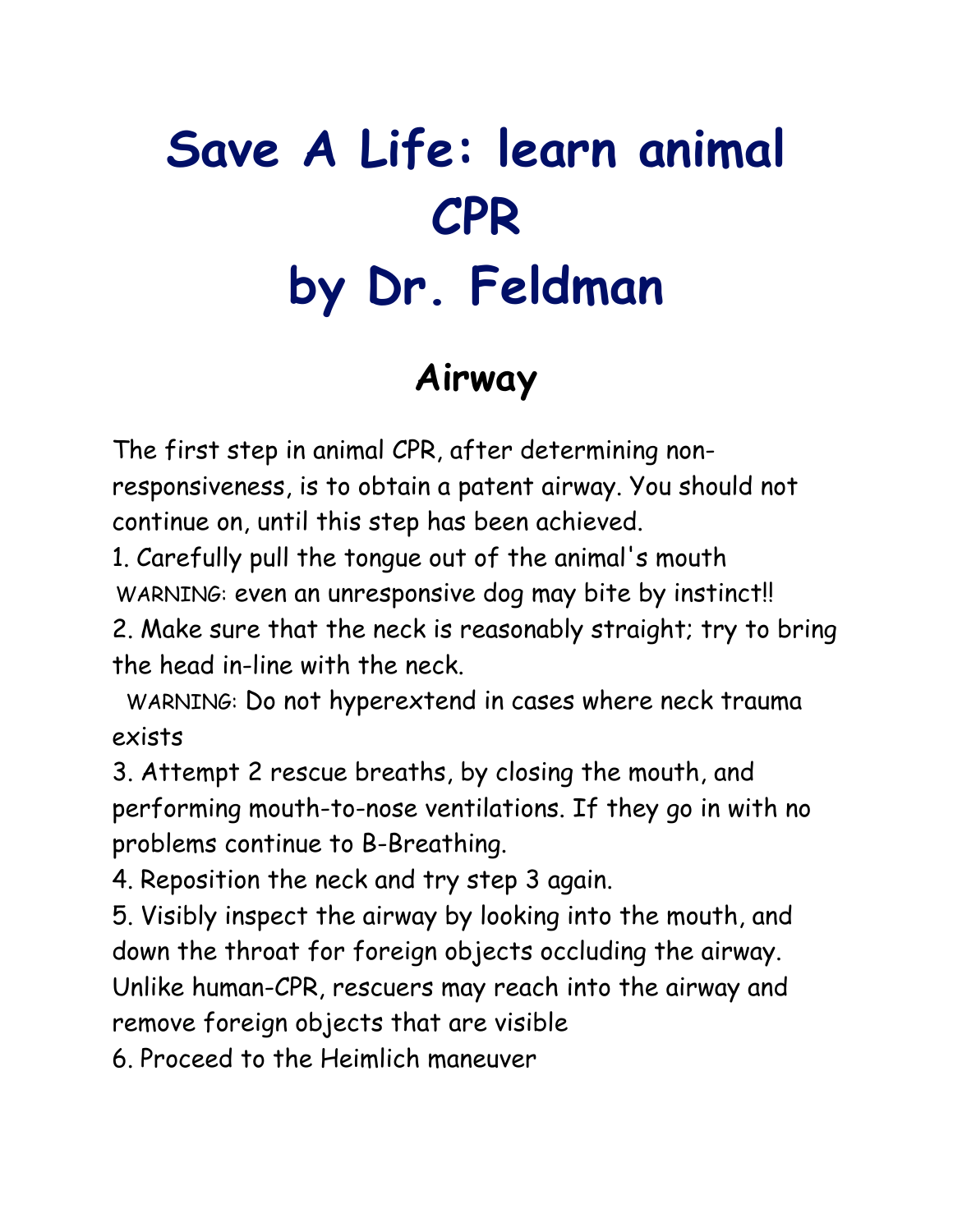# **Save A Life: learn animal CPR by Dr. Feldman**

#### **Airway**

The first step in animal CPR, after determining nonresponsiveness, is to obtain a patent airway. You should not continue on, until this step has been achieved.

1. Carefully pull the tongue out of the animal's mouth WARNING: even an unresponsive dog may bite by instinct!!

2. Make sure that the neck is reasonably straight; try to bring the head in-line with the neck.

 WARNING: Do not hyperextend in cases where neck trauma exists

3. Attempt 2 rescue breaths, by closing the mouth, and performing mouth-to-nose ventilations. If they go in with no problems continue to B-Breathing.

4. Reposition the neck and try step 3 again.

5. Visibly inspect the airway by looking into the mouth, and down the throat for foreign objects occluding the airway. Unlike human-CPR, rescuers may reach into the airway and remove foreign objects that are visible

6. Proceed to the Heimlich maneuver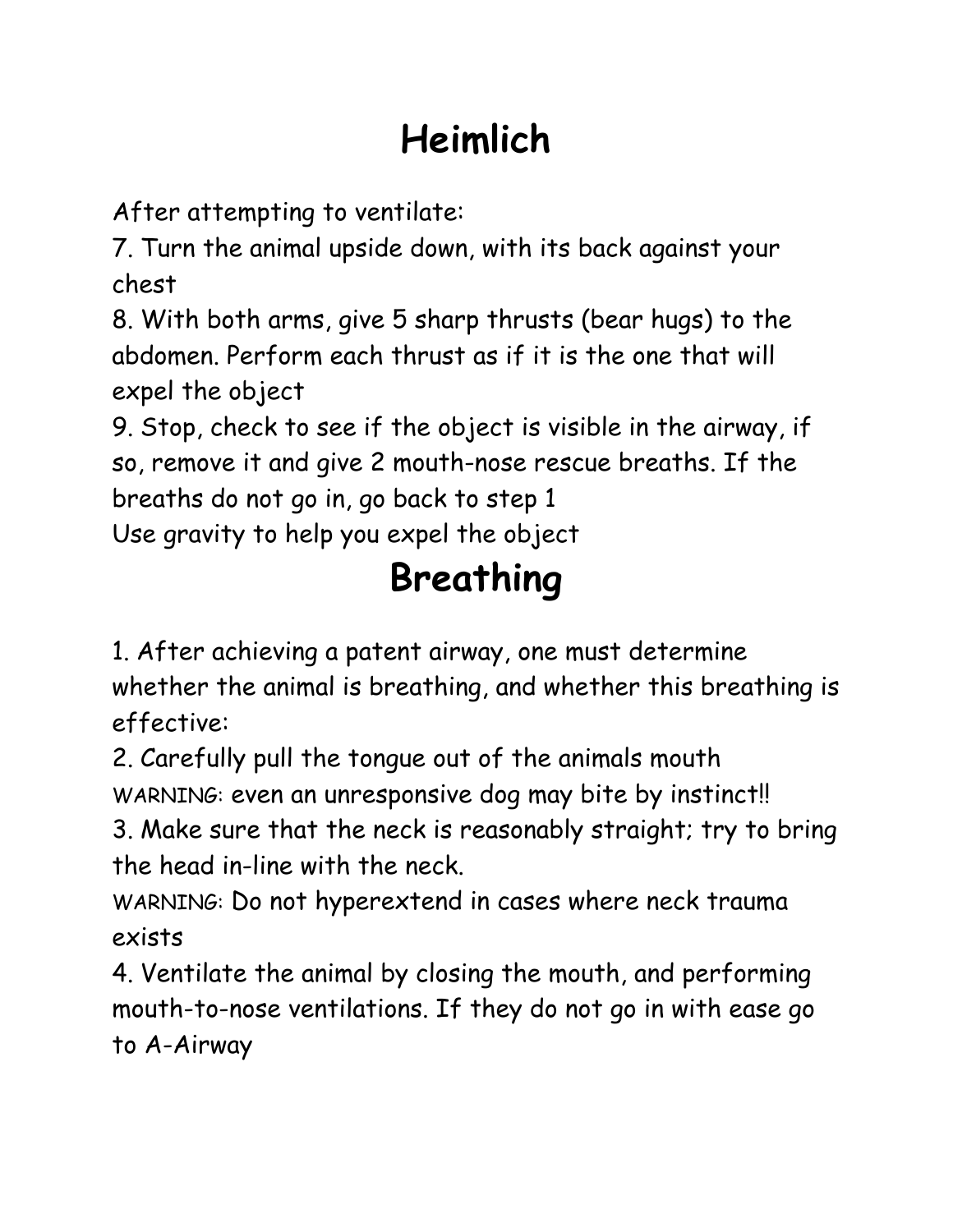## **Heimlich**

After attempting to ventilate:

7. Turn the animal upside down, with its back against your chest

8. With both arms, give 5 sharp thrusts (bear hugs) to the abdomen. Perform each thrust as if it is the one that will expel the object

9. Stop, check to see if the object is visible in the airway, if so, remove it and give 2 mouth-nose rescue breaths. If the breaths do not go in, go back to step 1 Use gravity to help you expel the object

**Breathing**

1. After achieving a patent airway, one must determine whether the animal is breathing, and whether this breathing is effective:

2. Carefully pull the tongue out of the animals mouth WARNING: even an unresponsive dog may bite by instinct!!

3. Make sure that the neck is reasonably straight; try to bring the head in-line with the neck.

WARNING: Do not hyperextend in cases where neck trauma exists

4. Ventilate the animal by closing the mouth, and performing mouth-to-nose ventilations. If they do not go in with ease go to A-Airway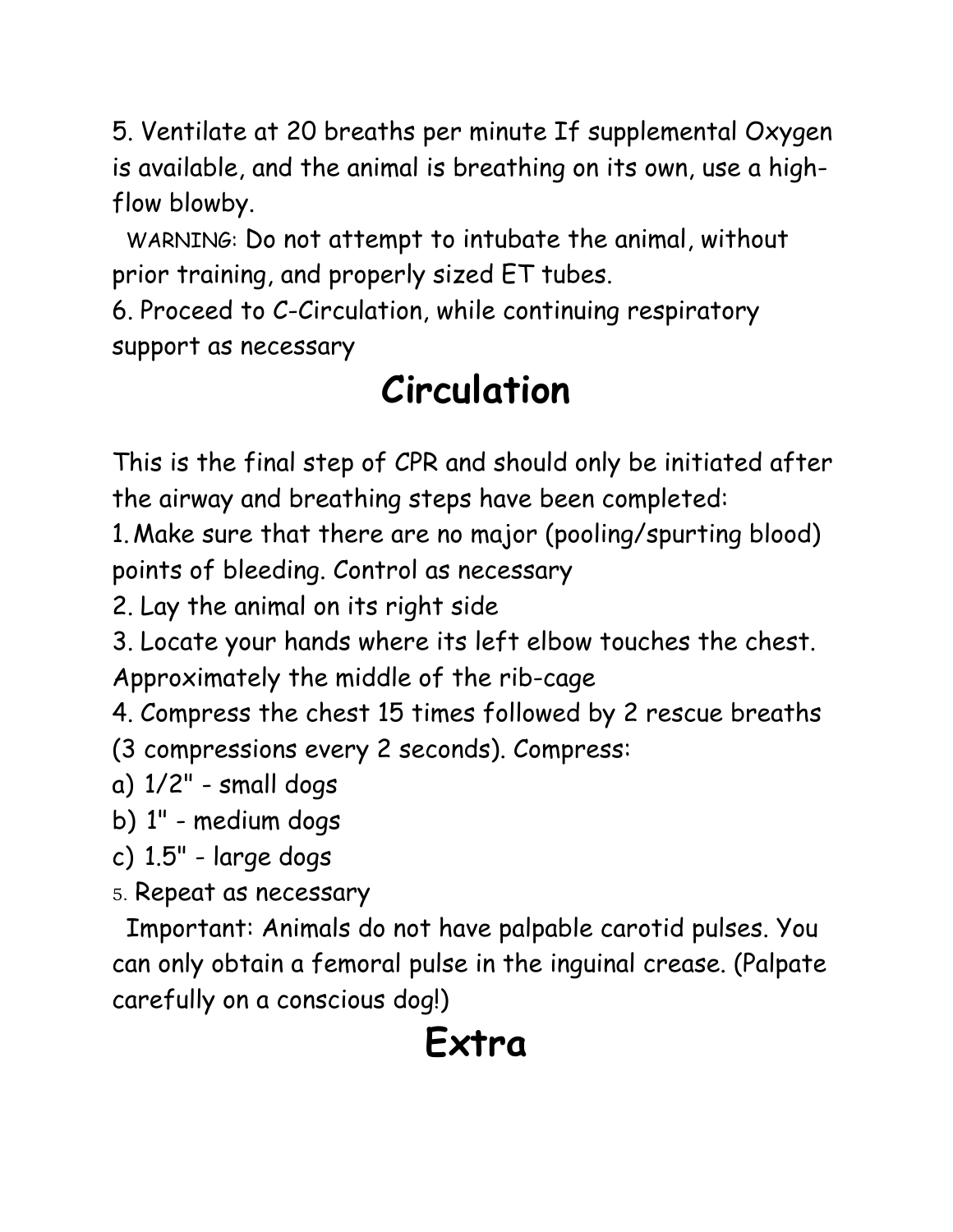5. Ventilate at 20 breaths per minute If supplemental Oxygen is available, and the animal is breathing on its own, use a highflow blowby.

 WARNING: Do not attempt to intubate the animal, without prior training, and properly sized ET tubes.

6. Proceed to C-Circulation, while continuing respiratory support as necessary

### **Circulation**

This is the final step of CPR and should only be initiated after the airway and breathing steps have been completed:

1.Make sure that there are no major (pooling/spurting blood) points of bleeding. Control as necessary

2. Lay the animal on its right side

3. Locate your hands where its left elbow touches the chest. Approximately the middle of the rib-cage

4. Compress the chest 15 times followed by 2 rescue breaths

(3 compressions every 2 seconds). Compress:

- a) 1/2" small dogs
- b) 1" medium dogs
- c) 1.5" large dogs
- 5. Repeat as necessary

 Important: Animals do not have palpable carotid pulses. You can only obtain a femoral pulse in the inguinal crease. (Palpate carefully on a conscious dog!)

#### **Extra**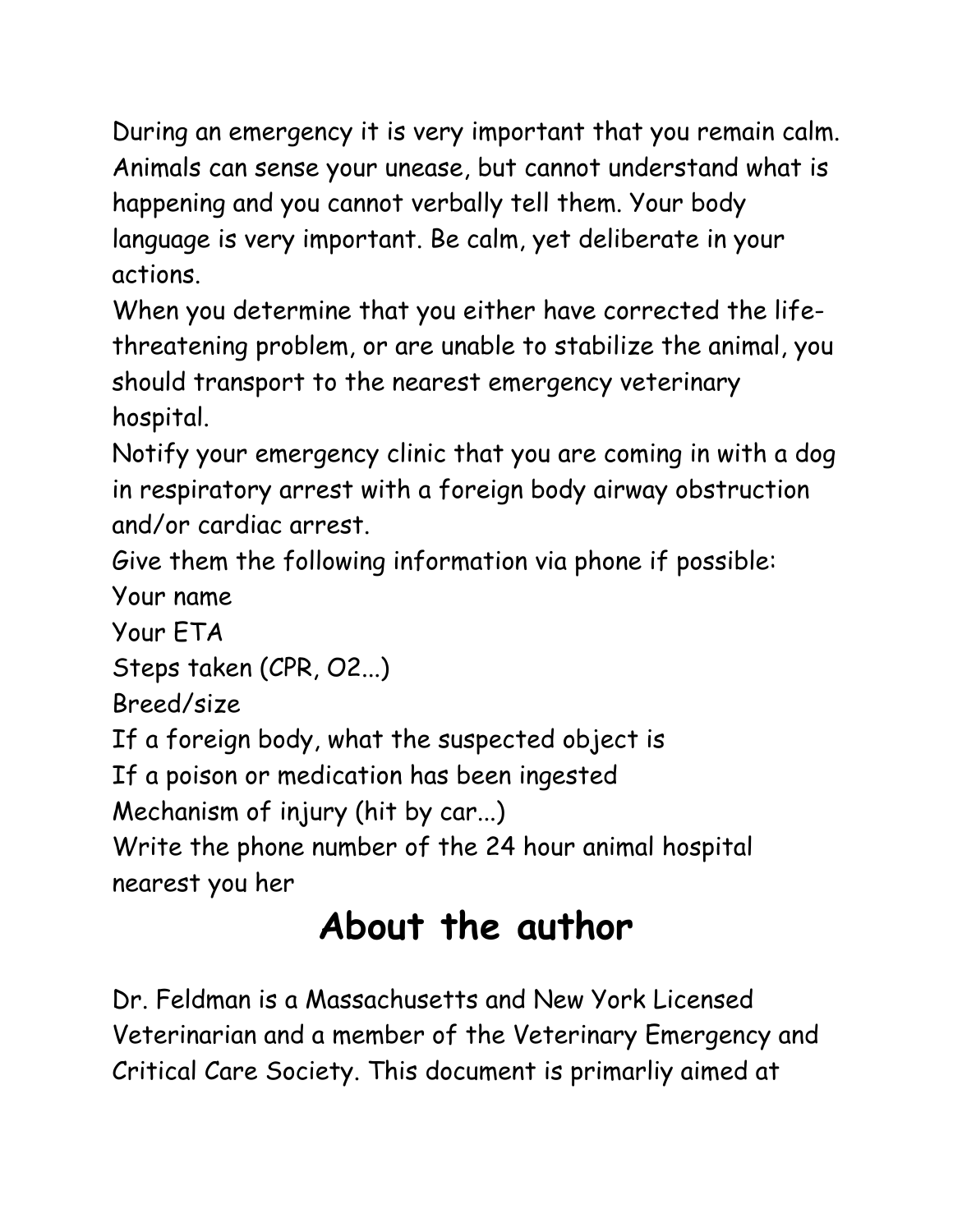During an emergency it is very important that you remain calm. Animals can sense your unease, but cannot understand what is happening and you cannot verbally tell them. Your body language is very important. Be calm, yet deliberate in your actions.

When you determine that you either have corrected the lifethreatening problem, or are unable to stabilize the animal, you should transport to the nearest emergency veterinary hospital.

Notify your emergency clinic that you are coming in with a dog in respiratory arrest with a foreign body airway obstruction and/or cardiac arrest.

Give them the following information via phone if possible: Your name

Your ETA

Steps taken (CPR, O2...)

Breed/size

If a foreign body, what the suspected object is

If a poison or medication has been ingested

Mechanism of injury (hit by car...)

Write the phone number of the 24 hour animal hospital nearest you her

### **About the author**

Dr. Feldman is a Massachusetts and New York Licensed Veterinarian and a member of the Veterinary Emergency and Critical Care Society. This document is primarliy aimed at